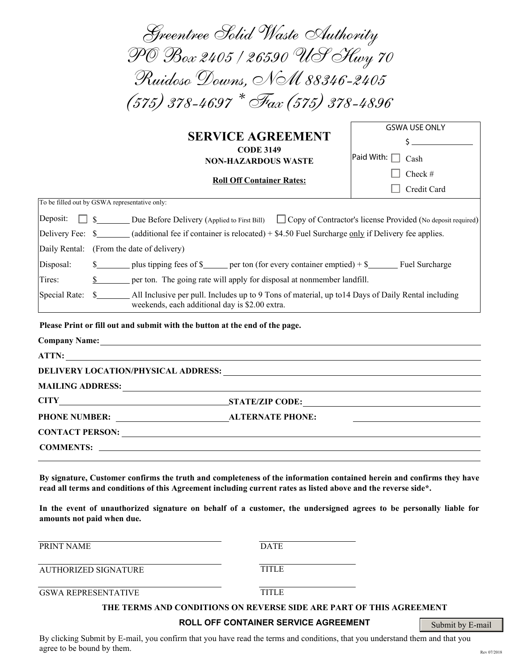| Greentree Solid Waste Authority                                                                                                                                                                                                                                                                                                                                                                                                                                                                                 |                                                |
|-----------------------------------------------------------------------------------------------------------------------------------------------------------------------------------------------------------------------------------------------------------------------------------------------------------------------------------------------------------------------------------------------------------------------------------------------------------------------------------------------------------------|------------------------------------------------|
| PO Box 2405 / 26590 US Hwy 70                                                                                                                                                                                                                                                                                                                                                                                                                                                                                   |                                                |
| Ruidoso Downs, NM 88346-2405                                                                                                                                                                                                                                                                                                                                                                                                                                                                                    |                                                |
| $(575)$ 378-4697 $*$ Fax (575) 378-4896                                                                                                                                                                                                                                                                                                                                                                                                                                                                         |                                                |
| <b>SERVICE AGREEMENT</b><br><b>CODE 3149</b><br><b>NON-HAZARDOUS WASTE</b>                                                                                                                                                                                                                                                                                                                                                                                                                                      | <b>GSWA USE ONLY</b><br>Paid With: $\Box$ Cash |
| <b>Roll Off Container Rates:</b>                                                                                                                                                                                                                                                                                                                                                                                                                                                                                | Check #<br>Credit Card                         |
| To be filled out by GSWA representative only:                                                                                                                                                                                                                                                                                                                                                                                                                                                                   |                                                |
| Deposit:<br>\$ _______ Due Before Delivery (Applied to First Bill) $\Box$ Copy of Contractor's license Provided (No deposit required)<br>Delivery Fee: \$_______(additional fee if container is relocated) + \$4.50 Fuel Surcharge only if Delivery fee applies.<br>Daily Rental: (From the date of delivery)<br>Disposal:<br>$\frac{1}{2}$ plus tipping fees of $\frac{1}{2}$ per ton (for every container emptied) + $\frac{1}{2}$ Fuel Surcharge<br>Tires:<br>weekends, each additional day is \$2.00 extra. |                                                |
| Please Print or fill out and submit with the button at the end of the page.                                                                                                                                                                                                                                                                                                                                                                                                                                     |                                                |
| ATTN:                                                                                                                                                                                                                                                                                                                                                                                                                                                                                                           |                                                |
| <b>DELIVERY LOCATION/PHYSICAL ADDRESS:</b>                                                                                                                                                                                                                                                                                                                                                                                                                                                                      |                                                |
| <b>MAILING ADDRESS:</b>                                                                                                                                                                                                                                                                                                                                                                                                                                                                                         |                                                |
| <b>CITY</b><br>STATE/ZIP CODE:                                                                                                                                                                                                                                                                                                                                                                                                                                                                                  |                                                |
|                                                                                                                                                                                                                                                                                                                                                                                                                                                                                                                 |                                                |
|                                                                                                                                                                                                                                                                                                                                                                                                                                                                                                                 |                                                |
|                                                                                                                                                                                                                                                                                                                                                                                                                                                                                                                 |                                                |
| By signature, Customer confirms the truth and completeness of the information contained herein and confirms they have<br>read all terms and conditions of this Agreement including current rates as listed above and the reverse side*.                                                                                                                                                                                                                                                                         |                                                |

**In the event of unauthorized signature on behalf of a customer, the undersigned agrees to be personally liable for amounts not paid when due.**

PRINT NAME DATE AUTHORIZED SIGNATURE TITLE GSWA REPRESENTATIVE TITLE **THE TERMS AND CONDITIONS ON REVERSE SIDE ARE PART OF THIS AGREEMENT**

# **ROLL OFF CONTAINER SERVICE AGREEMENT**

Submit by E-mail

By clicking Submit by E-mail, you confirm that you have read the terms and conditions, that you understand them and that you agree to be bound by them.